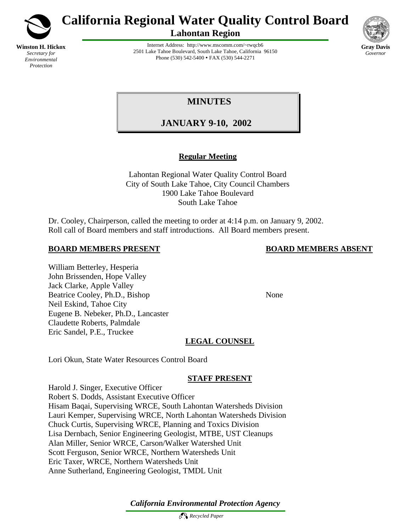

*Environmental Protection*

**California Regional Water Quality Control Board**

**Lahontan Region**



Internet Address: http://www.mscomm.com/~rwqcb6 2501 Lake Tahoe Boulevard, South Lake Tahoe, California 96150 Phone (530) 542-5400 • FAX (530) 544-2271

# **MINUTES**

# **JANUARY 9-10, 2002**

# **Regular Meeting**

Lahontan Regional Water Quality Control Board City of South Lake Tahoe, City Council Chambers 1900 Lake Tahoe Boulevard South Lake Tahoe

Dr. Cooley, Chairperson, called the meeting to order at 4:14 p.m. on January 9, 2002. Roll call of Board members and staff introductions. All Board members present.

# **BOARD MEMBERS PRESENT BOARD MEMBERS ABSENT**

## William Betterley, Hesperia John Brissenden, Hope Valley Jack Clarke, Apple Valley Beatrice Cooley, Ph.D., Bishop None Neil Eskind, Tahoe City Eugene B. Nebeker, Ph.D., Lancaster Claudette Roberts, Palmdale Eric Sandel, P.E., Truckee

# **LEGAL COUNSEL**

Lori Okun, State Water Resources Control Board

# **STAFF PRESENT**

Harold J. Singer, Executive Officer Robert S. Dodds, Assistant Executive Officer Hisam Baqai, Supervising WRCE, South Lahontan Watersheds Division Lauri Kemper, Supervising WRCE, North Lahontan Watersheds Division Chuck Curtis, Supervising WRCE, Planning and Toxics Division Lisa Dernbach, Senior Engineering Geologist, MTBE, UST Cleanups Alan Miller, Senior WRCE, Carson/Walker Watershed Unit Scott Ferguson, Senior WRCE, Northern Watersheds Unit Eric Taxer, WRCE, Northern Watersheds Unit Anne Sutherland, Engineering Geologist, TMDL Unit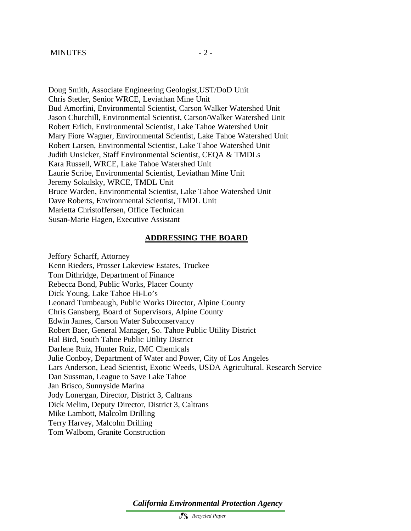Doug Smith, Associate Engineering Geologist,UST/DoD Unit Chris Stetler, Senior WRCE, Leviathan Mine Unit Bud Amorfini, Environmental Scientist, Carson Walker Watershed Unit Jason Churchill, Environmental Scientist, Carson/Walker Watershed Unit Robert Erlich, Environmental Scientist, Lake Tahoe Watershed Unit Mary Fiore Wagner, Environmental Scientist, Lake Tahoe Watershed Unit Robert Larsen, Environmental Scientist, Lake Tahoe Watershed Unit Judith Unsicker, Staff Environmental Scientist, CEQA & TMDLs Kara Russell, WRCE, Lake Tahoe Watershed Unit Laurie Scribe, Environmental Scientist, Leviathan Mine Unit Jeremy Sokulsky, WRCE, TMDL Unit Bruce Warden, Environmental Scientist, Lake Tahoe Watershed Unit Dave Roberts, Environmental Scientist, TMDL Unit Marietta Christoffersen, Office Technican Susan-Marie Hagen, Executive Assistant

#### **ADDRESSING THE BOARD**

Jeffory Scharff, Attorney Kenn Rieders, Prosser Lakeview Estates, Truckee Tom Dithridge, Department of Finance Rebecca Bond, Public Works, Placer County Dick Young, Lake Tahoe Hi-Lo's Leonard Turnbeaugh, Public Works Director, Alpine County Chris Gansberg, Board of Supervisors, Alpine County Edwin James, Carson Water Subconservancy Robert Baer, General Manager, So. Tahoe Public Utility District Hal Bird, South Tahoe Public Utility District Darlene Ruiz, Hunter Ruiz, IMC Chemicals Julie Conboy, Department of Water and Power, City of Los Angeles Lars Anderson, Lead Scientist, Exotic Weeds, USDA Agricultural. Research Service Dan Sussman, League to Save Lake Tahoe Jan Brisco, Sunnyside Marina Jody Lonergan, Director, District 3, Caltrans Dick Melim, Deputy Director, District 3, Caltrans Mike Lambott, Malcolm Drilling Terry Harvey, Malcolm Drilling Tom Walbom, Granite Construction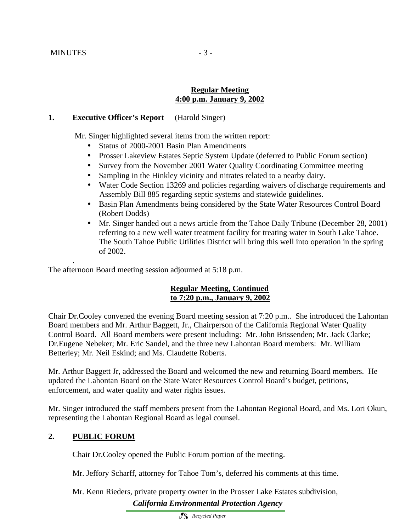.

#### **Regular Meeting 4:00 p.m. January 9, 2002**

#### **1. Executive Officer's Report** (Harold Singer)

Mr. Singer highlighted several items from the written report:

- Status of 2000-2001 Basin Plan Amendments
- Prosser Lakeview Estates Septic System Update (deferred to Public Forum section)
- Survey from the November 2001 Water Quality Coordinating Committee meeting
- Sampling in the Hinkley vicinity and nitrates related to a nearby dairy.
- Water Code Section 13269 and policies regarding waivers of discharge requirements and Assembly Bill 885 regarding septic systems and statewide guidelines.
- Basin Plan Amendments being considered by the State Water Resources Control Board (Robert Dodds)
- Mr. Singer handed out a news article from the Tahoe Daily Tribune (December 28, 2001) referring to a new well water treatment facility for treating water in South Lake Tahoe. The South Tahoe Public Utilities District will bring this well into operation in the spring of 2002.

The afternoon Board meeting session adjourned at 5:18 p.m.

#### **Regular Meeting, Continued to 7:20 p.m., January 9, 2002**

Chair Dr.Cooley convened the evening Board meeting session at 7:20 p.m.. She introduced the Lahontan Board members and Mr. Arthur Baggett, Jr., Chairperson of the California Regional Water Quality Control Board. All Board members were present including: Mr. John Brissenden; Mr. Jack Clarke; Dr.Eugene Nebeker; Mr. Eric Sandel, and the three new Lahontan Board members: Mr. William Betterley; Mr. Neil Eskind; and Ms. Claudette Roberts.

Mr. Arthur Baggett Jr, addressed the Board and welcomed the new and returning Board members. He updated the Lahontan Board on the State Water Resources Control Board's budget, petitions, enforcement, and water quality and water rights issues.

Mr. Singer introduced the staff members present from the Lahontan Regional Board, and Ms. Lori Okun, representing the Lahontan Regional Board as legal counsel.

#### **2. PUBLIC FORUM**

Chair Dr.Cooley opened the Public Forum portion of the meeting.

Mr. Jeffory Scharff, attorney for Tahoe Tom's, deferred his comments at this time.

*California Environmental Protection Agency* Mr. Kenn Rieders, private property owner in the Prosser Lake Estates subdivision,

 *Recycled Paper*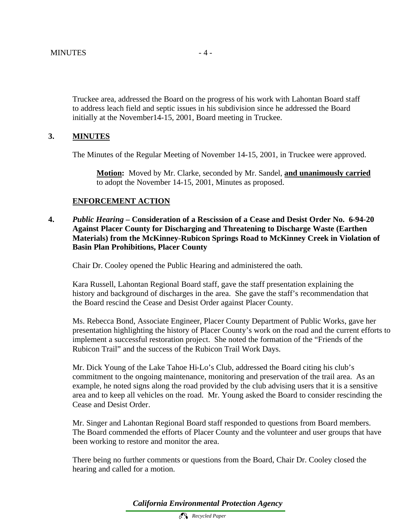Truckee area, addressed the Board on the progress of his work with Lahontan Board staff to address leach field and septic issues in his subdivision since he addressed the Board initially at the November14-15, 2001, Board meeting in Truckee.

## **3. MINUTES**

The Minutes of the Regular Meeting of November 14-15, 2001, in Truckee were approved.

**Motion:** Moved by Mr. Clarke, seconded by Mr. Sandel, **and unanimously carried**  to adopt the November 14-15, 2001, Minutes as proposed.

#### **ENFORCEMENT ACTION**

**4.** *Public Hearing –* **Consideration of a Rescission of a Cease and Desist Order No. 6-94-20 Against Placer County for Discharging and Threatening to Discharge Waste (Earthen Materials) from the McKinney-Rubicon Springs Road to McKinney Creek in Violation of Basin Plan Prohibitions, Placer County** 

Chair Dr. Cooley opened the Public Hearing and administered the oath.

Kara Russell, Lahontan Regional Board staff, gave the staff presentation explaining the history and background of discharges in the area. She gave the staff's recommendation that the Board rescind the Cease and Desist Order against Placer County.

Ms. Rebecca Bond, Associate Engineer, Placer County Department of Public Works, gave her presentation highlighting the history of Placer County's work on the road and the current efforts to implement a successful restoration project. She noted the formation of the "Friends of the Rubicon Trail" and the success of the Rubicon Trail Work Days.

Mr. Dick Young of the Lake Tahoe Hi-Lo's Club, addressed the Board citing his club's commitment to the ongoing maintenance, monitoring and preservation of the trail area. As an example, he noted signs along the road provided by the club advising users that it is a sensitive area and to keep all vehicles on the road. Mr. Young asked the Board to consider rescinding the Cease and Desist Order.

Mr. Singer and Lahontan Regional Board staff responded to questions from Board members. The Board commended the efforts of Placer County and the volunteer and user groups that have been working to restore and monitor the area.

There being no further comments or questions from the Board, Chair Dr. Cooley closed the hearing and called for a motion.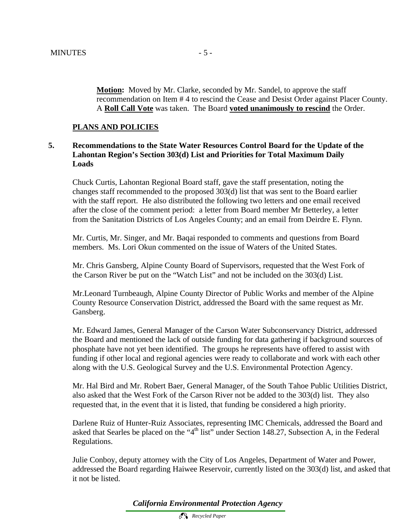**Motion:** Moved by Mr. Clarke, seconded by Mr. Sandel, to approve the staff recommendation on Item # 4 to rescind the Cease and Desist Order against Placer County. A **Roll Call Vote** was taken. The Board **voted unanimously to rescind** the Order.

#### **PLANS AND POLICIES**

## **5. Recommendations to the State Water Resources Control Board for the Update of the Lahontan Region's Section 303(d) List and Priorities for Total Maximum Daily Loads**

Chuck Curtis, Lahontan Regional Board staff, gave the staff presentation, noting the changes staff recommended to the proposed 303(d) list that was sent to the Board earlier with the staff report. He also distributed the following two letters and one email received after the close of the comment period: a letter from Board member Mr Betterley, a letter from the Sanitation Districts of Los Angeles County; and an email from Deirdre E. Flynn.

Mr. Curtis, Mr. Singer, and Mr. Baqai responded to comments and questions from Board members. Ms. Lori Okun commented on the issue of Waters of the United States.

Mr. Chris Gansberg, Alpine County Board of Supervisors, requested that the West Fork of the Carson River be put on the "Watch List" and not be included on the 303(d) List.

Mr.Leonard Turnbeaugh, Alpine County Director of Public Works and member of the Alpine County Resource Conservation District, addressed the Board with the same request as Mr. Gansberg.

Mr. Edward James, General Manager of the Carson Water Subconservancy District, addressed the Board and mentioned the lack of outside funding for data gathering if background sources of phosphate have not yet been identified. The groups he represents have offered to assist with funding if other local and regional agencies were ready to collaborate and work with each other along with the U.S. Geological Survey and the U.S. Environmental Protection Agency.

Mr. Hal Bird and Mr. Robert Baer, General Manager, of the South Tahoe Public Utilities District, also asked that the West Fork of the Carson River not be added to the 303(d) list. They also requested that, in the event that it is listed, that funding be considered a high priority.

Darlene Ruiz of Hunter-Ruiz Associates, representing IMC Chemicals, addressed the Board and asked that Searles be placed on the "4<sup>th</sup> list" under Section 148.27, Subsection A, in the Federal Regulations.

Julie Conboy, deputy attorney with the City of Los Angeles, Department of Water and Power, addressed the Board regarding Haiwee Reservoir, currently listed on the 303(d) list, and asked that it not be listed.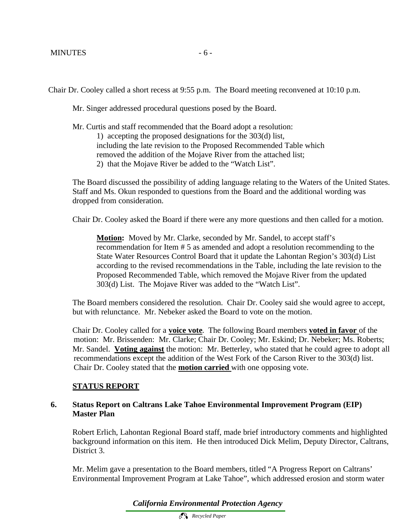Chair Dr. Cooley called a short recess at 9:55 p.m. The Board meeting reconvened at 10:10 p.m.

Mr. Singer addressed procedural questions posed by the Board.

Mr. Curtis and staff recommended that the Board adopt a resolution: 1) accepting the proposed designations for the 303(d) list, including the late revision to the Proposed Recommended Table which removed the addition of the Mojave River from the attached list; 2) that the Mojave River be added to the "Watch List".

The Board discussed the possibility of adding language relating to the Waters of the United States. Staff and Ms. Okun responded to questions from the Board and the additional wording was dropped from consideration.

Chair Dr. Cooley asked the Board if there were any more questions and then called for a motion.

**Motion:** Moved by Mr. Clarke, seconded by Mr. Sandel, to accept staff's recommendation for Item # 5 as amended and adopt a resolution recommending to the State Water Resources Control Board that it update the Lahontan Region's 303(d) List according to the revised recommendations in the Table, including the late revision to the Proposed Recommended Table, which removed the Mojave River from the updated 303(d) List. The Mojave River was added to the "Watch List".

The Board members considered the resolution. Chair Dr. Cooley said she would agree to accept, but with relunctance. Mr. Nebeker asked the Board to vote on the motion.

Chair Dr. Cooley called for a **voice vote**. The following Board members **voted in favor** of the motion: Mr. Brissenden: Mr. Clarke; Chair Dr. Cooley; Mr. Eskind; Dr. Nebeker; Ms. Roberts; Mr. Sandel. **Voting against** the motion:Mr. Betterley, who stated that he could agree to adopt all recommendations except the addition of the West Fork of the Carson River to the 303(d) list. Chair Dr. Cooley stated that the **motion carried** with one opposing vote.

## **STATUS REPORT**

#### **6. Status Report on Caltrans Lake Tahoe Environmental Improvement Program (EIP) Master Plan**

Robert Erlich, Lahontan Regional Board staff, made brief introductory comments and highlighted background information on this item. He then introduced Dick Melim, Deputy Director, Caltrans, District 3.

Mr. Melim gave a presentation to the Board members, titled "A Progress Report on Caltrans' Environmental Improvement Program at Lake Tahoe", which addressed erosion and storm water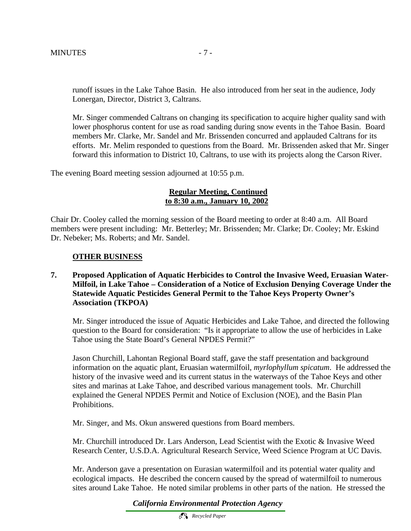runoff issues in the Lake Tahoe Basin. He also introduced from her seat in the audience, Jody Lonergan, Director, District 3, Caltrans.

Mr. Singer commended Caltrans on changing its specification to acquire higher quality sand with lower phosphorus content for use as road sanding during snow events in the Tahoe Basin. Board members Mr. Clarke, Mr. Sandel and Mr. Brissenden concurred and applauded Caltrans for its efforts. Mr. Melim responded to questions from the Board. Mr. Brissenden asked that Mr. Singer forward this information to District 10, Caltrans, to use with its projects along the Carson River.

The evening Board meeting session adjourned at 10:55 p.m.

## **Regular Meeting, Continued to 8:30 a.m., January 10, 2002**

Chair Dr. Cooley called the morning session of the Board meeting to order at 8:40 a.m. All Board members were present including: Mr. Betterley; Mr. Brissenden; Mr. Clarke; Dr. Cooley; Mr. Eskind Dr. Nebeker; Ms. Roberts; and Mr. Sandel.

## **OTHER BUSINESS**

## **7. Proposed Application of Aquatic Herbicides to Control the Invasive Weed, Eruasian Water-Milfoil, in Lake Tahoe – Consideration of a Notice of Exclusion Denying Coverage Under the Statewide Aquatic Pesticides General Permit to the Tahoe Keys Property Owner's Association (TKPOA)**

Mr. Singer introduced the issue of Aquatic Herbicides and Lake Tahoe, and directed the following question to the Board for consideration: "Is it appropriate to allow the use of herbicides in Lake Tahoe using the State Board's General NPDES Permit?"

Jason Churchill, Lahontan Regional Board staff, gave the staff presentation and background information on the aquatic plant, Eruasian watermilfoil, *myrlophyllum spicatum*. He addressed the history of the invasive weed and its current status in the waterways of the Tahoe Keys and other sites and marinas at Lake Tahoe, and described various management tools. Mr. Churchill explained the General NPDES Permit and Notice of Exclusion (NOE), and the Basin Plan Prohibitions.

Mr. Singer, and Ms. Okun answered questions from Board members.

Mr. Churchill introduced Dr. Lars Anderson, Lead Scientist with the Exotic & Invasive Weed Research Center, U.S.D.A. Agricultural Research Service, Weed Science Program at UC Davis.

Mr. Anderson gave a presentation on Eurasian watermilfoil and its potential water quality and ecological impacts. He described the concern caused by the spread of watermilfoil to numerous sites around Lake Tahoe. He noted similar problems in other parts of the nation. He stressed the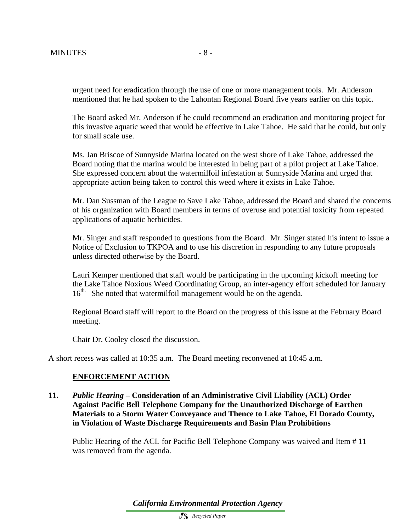urgent need for eradication through the use of one or more management tools. Mr. Anderson mentioned that he had spoken to the Lahontan Regional Board five years earlier on this topic.

The Board asked Mr. Anderson if he could recommend an eradication and monitoring project for this invasive aquatic weed that would be effective in Lake Tahoe. He said that he could, but only for small scale use.

Ms. Jan Briscoe of Sunnyside Marina located on the west shore of Lake Tahoe, addressed the Board noting that the marina would be interested in being part of a pilot project at Lake Tahoe. She expressed concern about the watermilfoil infestation at Sunnyside Marina and urged that appropriate action being taken to control this weed where it exists in Lake Tahoe.

Mr. Dan Sussman of the League to Save Lake Tahoe, addressed the Board and shared the concerns of his organization with Board members in terms of overuse and potential toxicity from repeated applications of aquatic herbicides.

Mr. Singer and staff responded to questions from the Board. Mr. Singer stated his intent to issue a Notice of Exclusion to TKPOA and to use his discretion in responding to any future proposals unless directed otherwise by the Board.

Lauri Kemper mentioned that staff would be participating in the upcoming kickoff meeting for the Lake Tahoe Noxious Weed Coordinating Group, an inter-agency effort scheduled for January 16<sup>th.</sup> She noted that watermilfoil management would be on the agenda.

Regional Board staff will report to the Board on the progress of this issue at the February Board meeting.

Chair Dr. Cooley closed the discussion.

A short recess was called at 10:35 a.m. The Board meeting reconvened at 10:45 a.m.

#### **ENFORCEMENT ACTION**

**11.** *Public Hearing –* **Consideration of an Administrative Civil Liability (ACL) Order Against Pacific Bell Telephone Company for the Unauthorized Discharge of Earthen Materials to a Storm Water Conveyance and Thence to Lake Tahoe, El Dorado County, in Violation of Waste Discharge Requirements and Basin Plan Prohibitions**

Public Hearing of the ACL for Pacific Bell Telephone Company was waived and Item # 11 was removed from the agenda.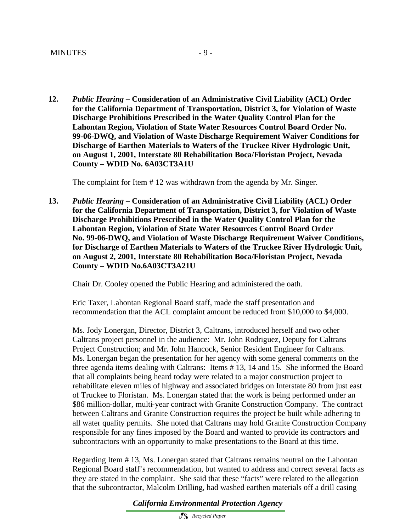**12.** *Public Hearing –* **Consideration of an Administrative Civil Liability (ACL) Order for the California Department of Transportation, District 3, for Violation of Waste Discharge Prohibitions Prescribed in the Water Quality Control Plan for the Lahontan Region, Violation of State Water Resources Control Board Order No. 99-06-DWQ, and Violation of Waste Discharge Requirement Waiver Conditions for Discharge of Earthen Materials to Waters of the Truckee River Hydrologic Unit, on August 1, 2001, Interstate 80 Rehabilitation Boca/Floristan Project, Nevada County – WDID No. 6A03CT3A1U**

The complaint for Item # 12 was withdrawn from the agenda by Mr. Singer.

**13.** *Public Hearing –* **Consideration of an Administrative Civil Liability (ACL) Order for the California Department of Transportation, District 3, for Violation of Waste Discharge Prohibitions Prescribed in the Water Quality Control Plan for the Lahontan Region, Violation of State Water Resources Control Board Order No. 99-06-DWQ, and Violation of Waste Discharge Requirement Waiver Conditions, for Discharge of Earthen Materials to Waters of the Truckee River Hydrologic Unit, on August 2, 2001, Interstate 80 Rehabilitation Boca/Floristan Project, Nevada County – WDID No.6A03CT3A21U**

Chair Dr. Cooley opened the Public Hearing and administered the oath.

Eric Taxer, Lahontan Regional Board staff, made the staff presentation and recommendation that the ACL complaint amount be reduced from \$10,000 to \$4,000.

Ms. Jody Lonergan, Director, District 3, Caltrans, introduced herself and two other Caltrans project personnel in the audience: Mr. John Rodriguez, Deputy for Caltrans Project Construction; and Mr. John Hancock, Senior Resident Engineer for Caltrans. Ms. Lonergan began the presentation for her agency with some general comments on the three agenda items dealing with Caltrans: Items # 13, 14 and 15. She informed the Board that all complaints being heard today were related to a major construction project to rehabilitate eleven miles of highway and associated bridges on Interstate 80 from just east of Truckee to Floristan. Ms. Lonergan stated that the work is being performed under an \$86 million-dollar, multi-year contract with Granite Construction Company. The contract between Caltrans and Granite Construction requires the project be built while adhering to all water quality permits. She noted that Caltrans may hold Granite Construction Company responsible for any fines imposed by the Board and wanted to provide its contractors and subcontractors with an opportunity to make presentations to the Board at this time.

Regarding Item # 13, Ms. Lonergan stated that Caltrans remains neutral on the Lahontan Regional Board staff's recommendation, but wanted to address and correct several facts as they are stated in the complaint. She said that these "facts" were related to the allegation that the subcontractor, Malcolm Drilling, had washed earthen materials off a drill casing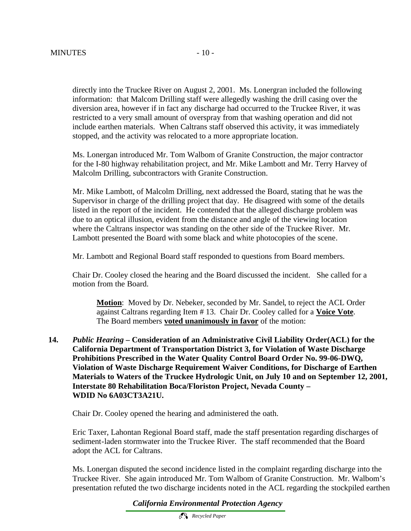directly into the Truckee River on August 2, 2001. Ms. Lonergran included the following information: that Malcom Drilling staff were allegedly washing the drill casing over the

diversion area, however if in fact any discharge had occurred to the Truckee River, it was restricted to a very small amount of overspray from that washing operation and did not include earthen materials. When Caltrans staff observed this activity, it was immediately stopped, and the activity was relocated to a more appropriate location.

Ms. Lonergan introduced Mr. Tom Walbom of Granite Construction, the major contractor for the I-80 highway rehabilitation project, and Mr. Mike Lambott and Mr. Terry Harvey of Malcolm Drilling, subcontractors with Granite Construction.

Mr. Mike Lambott, of Malcolm Drilling, next addressed the Board, stating that he was the Supervisor in charge of the drilling project that day. He disagreed with some of the details listed in the report of the incident. He contended that the alleged discharge problem was due to an optical illusion, evident from the distance and angle of the viewing location where the Caltrans inspector was standing on the other side of the Truckee River. Mr. Lambott presented the Board with some black and white photocopies of the scene.

Mr. Lambott and Regional Board staff responded to questions from Board members.

Chair Dr. Cooley closed the hearing and the Board discussed the incident. She called for a motion from the Board.

**Motion**: Moved by Dr. Nebeker, seconded by Mr. Sandel, to reject the ACL Order against Caltrans regarding Item # 13. Chair Dr. Cooley called for a **Voice Vote**. The Board members **voted unanimously in favor** of the motion:

**14.** *Public Hearing –* **Consideration of an Administrative Civil Liability Order(ACL) for the California Department of Transportation District 3, for Violation of Waste Discharge Prohibitions Prescribed in the Water Quality Control Board Order No. 99-06-DWQ, Violation of Waste Discharge Requirement Waiver Conditions, for Discharge of Earthen Materials to Waters of the Truckee Hydrologic Unit, on July 10 and on September 12, 2001, Interstate 80 Rehabilitation Boca/Floriston Project, Nevada County – WDID No 6A03CT3A21U.**

Chair Dr. Cooley opened the hearing and administered the oath.

Eric Taxer, Lahontan Regional Board staff, made the staff presentation regarding discharges of sediment-laden stormwater into the Truckee River. The staff recommended that the Board adopt the ACL for Caltrans.

Ms. Lonergan disputed the second incidence listed in the complaint regarding discharge into the Truckee River. She again introduced Mr. Tom Walbom of Granite Construction. Mr. Walbom's presentation refuted the two discharge incidents noted in the ACL regarding the stockpiled earthen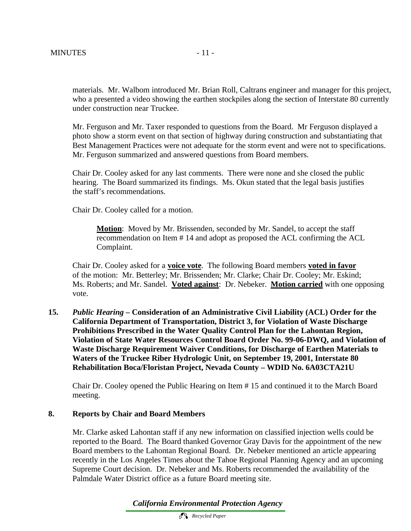materials. Mr. Walbom introduced Mr. Brian Roll, Caltrans engineer and manager for this project, who a presented a video showing the earthen stockpiles along the section of Interstate 80 currently under construction near Truckee.

Mr. Ferguson and Mr. Taxer responded to questions from the Board. Mr Ferguson displayed a photo show a storm event on that section of highway during construction and substantiating that Best Management Practices were not adequate for the storm event and were not to specifications. Mr. Ferguson summarized and answered questions from Board members.

Chair Dr. Cooley asked for any last comments. There were none and she closed the public hearing. The Board summarized its findings. Ms. Okun stated that the legal basis justifies the staff's recommendations.

Chair Dr. Cooley called for a motion.

**Motion**: Moved by Mr. Brissenden, seconded by Mr. Sandel, to accept the staff recommendation on Item # 14 and adopt as proposed the ACL confirming the ACL Complaint.

Chair Dr. Cooley asked for a **voice vote**. The following Board members **voted in favor** of the motion: Mr. Betterley; Mr. Brissenden; Mr. Clarke; Chair Dr. Cooley; Mr. Eskind; Ms. Roberts; and Mr. Sandel. **Voted against**: Dr. Nebeker. **Motion carried** with one opposing vote.

**15.** *Public Hearing –* **Consideration of an Administrative Civil Liability (ACL) Order for the California Department of Transportation, District 3, for Violation of Waste Discharge Prohibitions Prescribed in the Water Quality Control Plan for the Lahontan Region, Violation of State Water Resources Control Board Order No. 99-06-DWQ, and Violation of Waste Discharge Requirement Waiver Conditions, for Discharge of Earthen Materials to Waters of the Truckee Riber Hydrologic Unit, on September 19, 2001, Interstate 80 Rehabilitation Boca/Floristan Project, Nevada County – WDID No. 6A03CTA21U**

Chair Dr. Cooley opened the Public Hearing on Item # 15 and continued it to the March Board meeting.

#### **8. Reports by Chair and Board Members**

Mr. Clarke asked Lahontan staff if any new information on classified injection wells could be reported to the Board. The Board thanked Governor Gray Davis for the appointment of the new Board members to the Lahontan Regional Board. Dr. Nebeker mentioned an article appearing recently in the Los Angeles Times about the Tahoe Regional Planning Agency and an upcoming Supreme Court decision. Dr. Nebeker and Ms. Roberts recommended the availability of the Palmdale Water District office as a future Board meeting site.